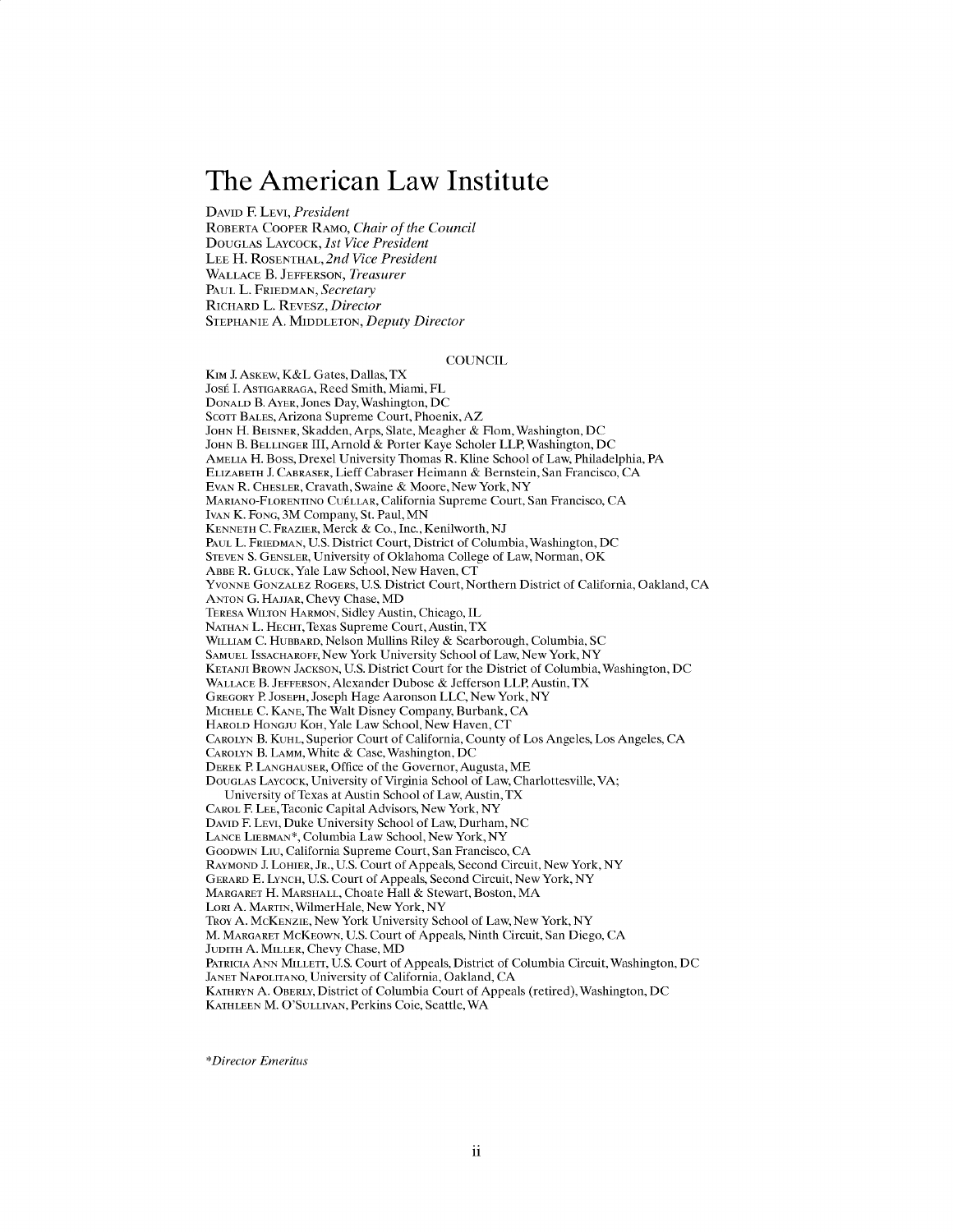# **The American Law Institute**

DAVID F. LEVI, President ROBERTA COOPER RAMO, *Chair of the Council* DOUGLAS LAYCOCK, *1st Vice President* **LEE** H. ROSENTHAL, *2nd Vice President* **WALLACE** B. **JEFFERSON,** *Treasurer* **PAUL** L. FRIEDMAN, *Secretary* RICHARD L. REVESZ, *Director* **STEPHANIE A. MIDDLETON,** *Deputy Director*

#### **COUNCIL**

KIM J. ASKEW, K&L Gates, Dallas, TX José I. Astigarraga, Reed Smith, Miami, FL **DONALD** B. AYER, Jones Day, Washington, **DC SCOTT BALES,** Arizona Supreme Court, Phoenix, AZ **JOHN** H. **BEISNER,** Skadden, Arps, Slate, Meagher **&** Flom, Washington, **DC JOHN** B. BELLINGER III, Arnold **&** Porter Kaye Scholer LLP, Washington, **DC AMELIA** H. Boss, Drexel University Thomas R. Kline School of Law, Philadelphia, PA ELIZABETH **J** CABRASER, Lieff Cabraser Heimann *&* Bernstein, San Francisco, **CA EVAN** R. CHESLER, Cravath, Swaine *&* Moore, New York, NY MARLIANO-FLORENTINO CULLAR, California Supreme Court, San Francisco, **CA IVAN** K. **FONG,** 3M Company, St. Paul, **MN KENNETH C.** FRAZIER, Merck *&* Co., Inc., Kenilworth, **NJ PAUL** L. FRIEDMAN, **U.S.** District Court, District of Columbia, Washington, **DC STEVEN S. GENSLER,** University of Oklahoma College of Law, Norman, OK ABBE R. **GLUCK,** Yale Law School, New Haven, **CT YVONNE** GONZALEZ ROGERS, **U.S.** District Court, Northern District of California, Oakland, **CA ANTON** *G.* **HAJJAR,** Chevy Chase, MD TERESA WILTON HARMON, Sidley Austin, Chicago, IL **NATHAN** L. **HECHT,** Texas Supreme Court, Austin, TX WILLIAM **C.** HUBBARD, Nelson Mullins Riley *&* Scarborough, Columbia, **SC SAMUEL ISSACHAROFF,** New York University School of Law, New York, NY KETANJL BROWN **JACKSON, U.S.** District Court for the District of Columbia, Washington, **DC WALLACE** B. **JEFFERSON,** Alexander Dubose *&* Jefferson LLP, Austin, TX GREGORY P **JOSEPH,** Joseph Hage Aaronson **LLC,** New York, NY **MICHELE C. KANE,** The Walt Disney Company, Burbank, **CA** HAROLD HONGJU KOH,Yale Law School, New Haven, **CT** CAROLYN B. **KUHL,** Superior Court of California, County of Los Angeles, Los Angeles, **CA** CAROLYN B. LAMM, White *&* Case, Washington, **DC** DEREK P **LANGHAUSER,** Office of the Governor, Augusta, ME DOUGLAS LAYCOCK, University of Virginia School of Law, Charlottesville, VA; University of Texas at Austin School of Law, Austin, TX CAROL F. **LEE,** Taconic Capital Advisors, New York, NY **DAVID** F. LEVI, Duke University School of Law, Durham, **NC LANCE LIEBMAN\*,** Columbia Law School, New York, NY **GOODWIN** Liu, California Supreme Court, San Francisco, **CA** RAYMOND **J.** LOHIER, JR., **U.S.** Court of Appeals, Second Circuit, New York, NY GERARD **E. LYNCH, U.S.** Court of Appeals, Second Circuit, New York, NY MARGARET H. **MARSHALL,** Choate Hall **&** Stewart, Boston, MA LORI **A.** MARTIN, WilmerHale, New York, NY TROY **A.** MCKENZIE, New York University School of Law, New York, NY M. MARGARET MCKEOWN, **U.S.** Court of Appeals, Ninth Circuit, San Diego, **CA JUDITH A.** MILLER, Chevy Chase, MD PATRICIA **ANN** MILLEFr, **U.S.** Court of Appeals, District of Columbia Circuit, Washington, **DC JANET NAPOLITANO,** University of California, Oakland, **CA** KATHRYN **A.** OBERLY, District of Columbia Court of Appeals (retired), Washington, **DC KATHLEEN** M. **O'SULLIVAN,** Perkins Coie, Seattle, WA

*\*Director Emeritus*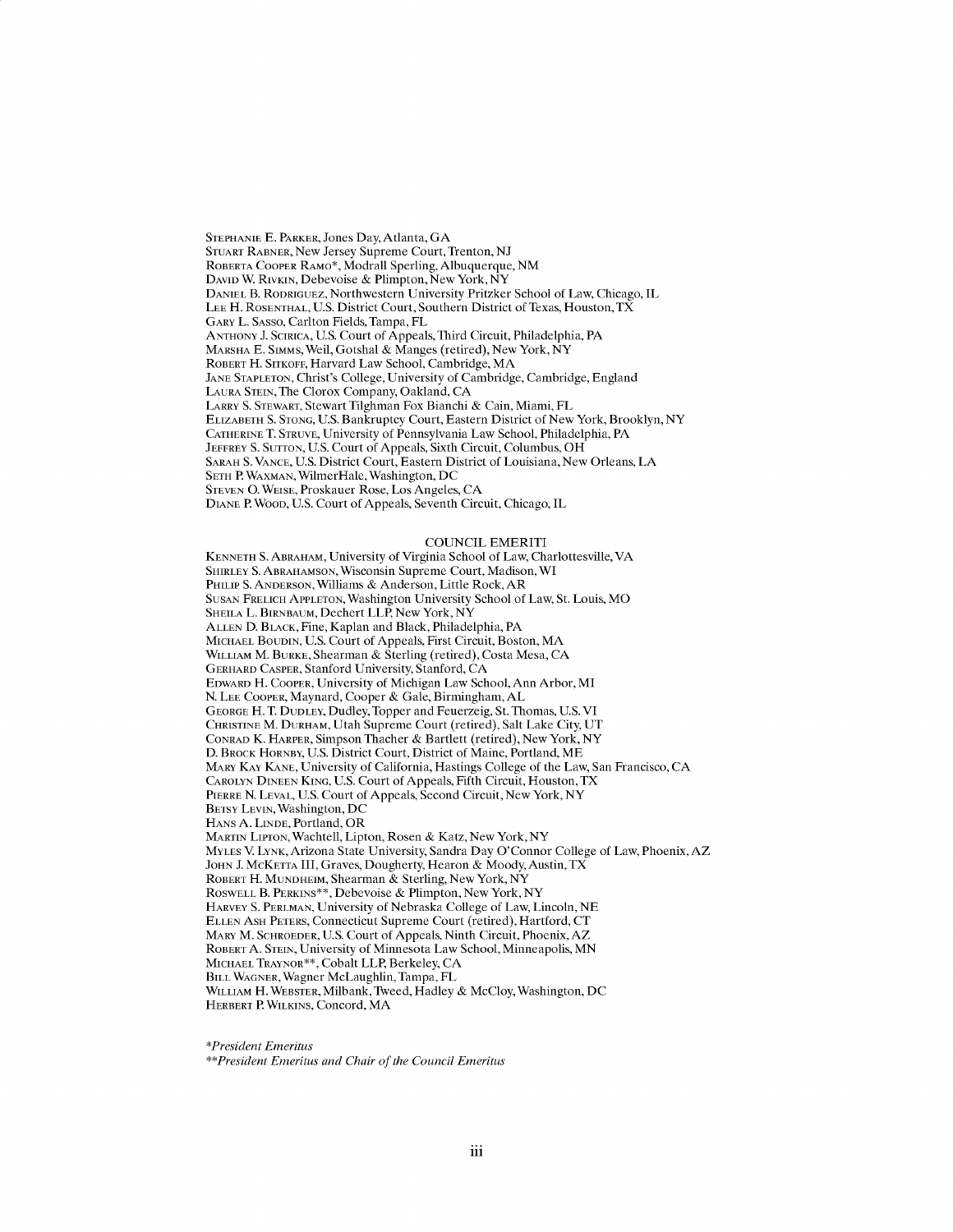**STEPHANIE E.** PARKER, Jones Day, Atlanta, **GA** STUART RABNER, New Jersey Supreme Court, Trenton, **NJ** ROBERTA COOPER RAMO\*, Modrall Sperling, Albuquerque, **NM DAVID** W RIVKIN, Debevoise **&** Plimpton, New York, NY **DANIEL** B. RODRIGUEZ, Northwestern University Pritzker School of Law, Chicago, IL **LEE** H. **ROSENTHAL, U.S.** District Court, Southern District of Texas, Houston, TX GARY L. **SASSO,** Carlton Fields, Tampa, FL **ANTHONY J. SCIRICA, U.S.** Court of Appeals, Third Circuit, Philadelphia, PA MARSHA **E.** SiMMs, Weil, Gotshal **&** Manges (retired), New York, NY ROBERT H. SITKOFF, Harvard Law School, Cambridge, MA **JANE STAPLETON,** Christ's College, University of Cambridge, Cambridge, England **LAURA STEIN,** The Clorox Company, Oakland, **CA** LARRY **S. STEWART,** Stewart Tilghman Fox Bianchi **&** Cain, Miami, FL ELIZABETH **S. STONG, U.S.** Bankruptcy Court, Eastern District of New York, Brooklyn, NY **CATHERINE** T. **STRUVE,** University of Pennsylvania Law School, Philadelphia, PA **JEFFREY S. SUTTON, U.S.** Court of Appeals, Sixth Circuit, Columbus, OH SARAH **S. VANCE, U.S.** District Court, Eastern District of Louisiana, New Orleans, **LA SETH** P. WAXMAN, WilmerHale, Washington, **DC STEVEN 0. WEISE,** Proskauer Rose, Los Angeles, **CA DIANE** P. WOOD, **U.S.** Court of Appeals, Seventh Circuit, Chicago, IL

#### **COUNCIL** EMERITI

**KENNETH S.** ABRAHAM, University of Virginia School of Law, Charlottesville, VA SHIRLEY **S. ABRAHAMSON,** Wisconsin Supreme Court, Madison, WI **PHILIP S. ANDERSON,** Williams **&** Anderson, Little Rock, AR **SUSAN** FRELICH **APPLETON,** Washington University School of Law, St. Louis, MO SHEILA L. BIRNBAUM, Dechert LLP, New York, NY **ALLEN D.** BLACK, Fine, Kaplan and Black, Philadelphia, PA **MICHAEL BOUDIN, U.S.** Court of Appeals, First Circuit, Boston, MA **WILLIAM** M. **BURKE,** Shearman **&** Sterling (retired), Costa Mesa, **CA GERHARD CASPER,** Stanford University, Stanford, **CA EDWARD** H. **COOPER,** University of Michigan Law School, Ann Arbor, MI **N. LEE COOPER,** Maynard, Cooper **&** Gale, Birmingham, **AL GEORGE** H. T. **DUDLEY,** Dudley, Topper and Feuerzeig, St. Thomas, **U.S.** VI **CHRISTINE** M. **DURHAM,** Utah Supreme Court (retired), Salt Lake City, **UT CONRAD** K. **HARPER,** Simpson Thacher **&** Bartlett (retired), New York, NY **D.** BROCK **HORNBY, U.S.** District Court, District of Maine, Portland, ME **MARY KAY KANE,** University of California, Hastings College of the Law, San Francisco, **CA CAROLYN DINEEN KING, U.S.** Court of Appeals, Fifth Circuit, Houston, TX **PIERRE N. LEVAL, U.S.** Court of Appeals, Second Circuit, New York, NY **BETSY** LEVIN, Washington, **DC HANS A. LINDE,** Portland, OR **MARTIN** LIPrON, Wachtell, Lipton, Rosen **&** Katz, New York, NY **MYLES** V. LYNK, Arizona State University, Sandra Day O'Connor College of Law, Phoenix, AZ **JOHN J.** McKETTA III, Graves, Dougherty, Hearon **&** Moody, Austin, TX **ROBERT** H. **MUNDHEIM,** Shearman **&** Sterling, New York, NY ROSWELL B. **PERKINS\*\*,** Debevoise **&** Plimpton, New York, NY **HARVEY S. PERLMAN,** University of Nebraska College of Law, Lincoln, **NE ELLEN ASH PETERS,** Connecticut Supreme Court (retired), Hartford, **CT MARY** M. **SCHROEDER, U.S.** Court of Appeals, Ninth Circuit, Phoenix, AZ **ROBERT A. STEIN,** University of Minnesota Law School, Minneapolis, **MN MICHAEL TRAYNOR\*\*,** Cobalt LLP, Berkeley, **CA** BILL **WAGNER,** Wagner McLaughlin, Tampa, FL **WILLIAM** H. **WEBSTER,** Milbank, Tweed, Hadley **&** McCloy, Washington, **DC HERBERT** P **WILKINS,** Concord, MA

*\*President Emeritus*

*\*\*President Emeritus and Chair of the Council Emeritus*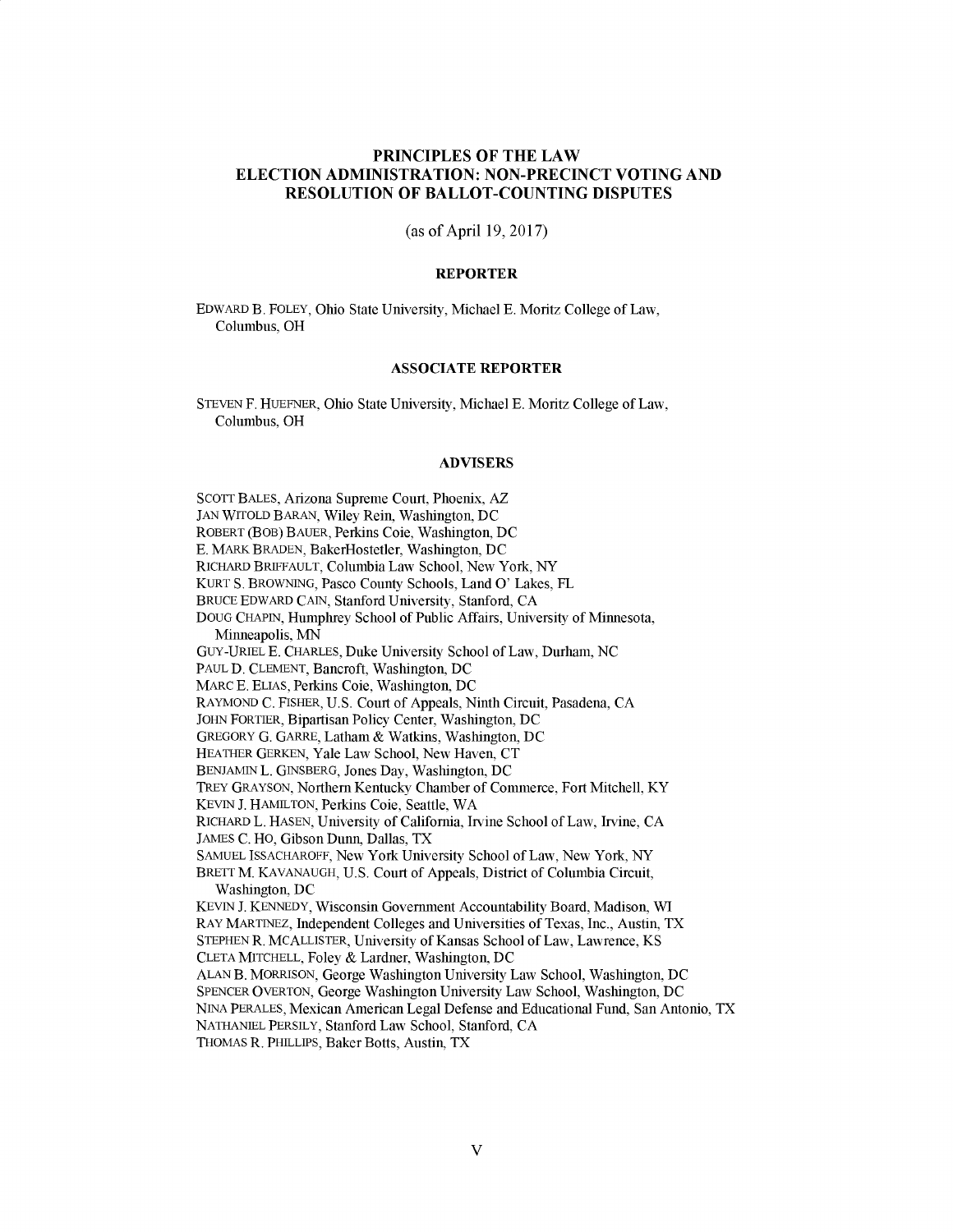# **PRINCIPLES OF THE LAW ELECTION ADMINISTRATION: NON-PRECINCT VOTING AND RESOLUTION OF BALLOT-COUNTING DISPUTES**

(as of April **19, 2017)**

## **REPORTER**

EDWARD B. FOLEY, Ohio State University, Michael **E.** Moritz College of Law, Columbus, OH

## **ASSOCIATE** REPORTER

**STEVEN** F. HUEFNER, Ohio State University, Michael **E.** Moritz College of Law, Columbus, OH

#### ADVISERS

**SCOTT BALES,** Arizona Supreme Court, Phoenix, AZ **JAN** WITOLD BARAN, Wiley Rein, Washington, **DC** ROBERT (BOB) BAUER, Perkins Coie, Washington, **DC E.** MARK BRADEN, BakerHostetler, Washington, **DC** RICHARD BRIFFAULT, Columbia Law School, New York, NY KURT **S.** BROWNING, Pasco County Schools, Land **0'** Lakes, FL BRUCE EDWARD **CAIN,** Stanford University, Stanford, **CA DOUG CHAPIN,** Humphrey School of Public Affairs, University of Minnesota, Minneapolis, **MN** GUY-URIEL **E.** CHARLES, Duke University School of Law, Durham, **NC PAUL D. CLEMENT,** Bancroft, Washington, **DC** MARC **E. ELIAS,** Perkins Coie, Washington, **DC** RAYMOND **C.** FISHER, **U.S.** Court of Appeals, Ninth Circuit, Pasadena, **CA JOHN** FORTIER, Bipartisan Policy Center, Washington, **DC** GREGORY **G.** GARRE, Latham **&** Watkins, Washington, **DC** HEATHER GERKEN, Yale Law School, New Haven, **CT BENJAMIN** L. **GINSBERG,** Jones Day, Washington, **DC** TREY GRAYSON, Northern Kentucky Chamber of Commerce, Fort Mitchell, KY **KEVIN J. HAMILTON,** Perkins Coie, Seattle, WA RICHARD L. **HASEN,** University of California, Irvine School of Law, Irvine, **CA JAMES C.** HO, Gibson Dunn, Dallas, TX **SAMUEL ISSACHAROFF,** New York University School of Law, New York, NY BRETT M. **KAVANAUGH, U.S.** Court of Appeals, District of Columbia Circuit, Washington, **DC KEVIN J. KENNEDY,** Wisconsin Government Accountability Board, Madison, WI RAY MARTINEZ, Independent Colleges and Universities of Texas, Inc., Austin, TX **STEPHEN** R. MCALLISTER, University of Kansas School of Law, Lawrence, KS **CLETA** MITCHELL, Foley **&** Lardner, Washington, **DC ALAN** B. MORRISON, George Washington University Law School, Washington, **DC SPENCER** OVERTON, George Washington University Law School, Washington, **DC NINA** PERALES, Mexican American Legal Defense and Educational Fund, San Antonio, TX **NATHANIEL** PERSILY, Stanford Law School, Stanford, **CA THOMAS** R. PHILLIPS, Baker Botts, Austin, TX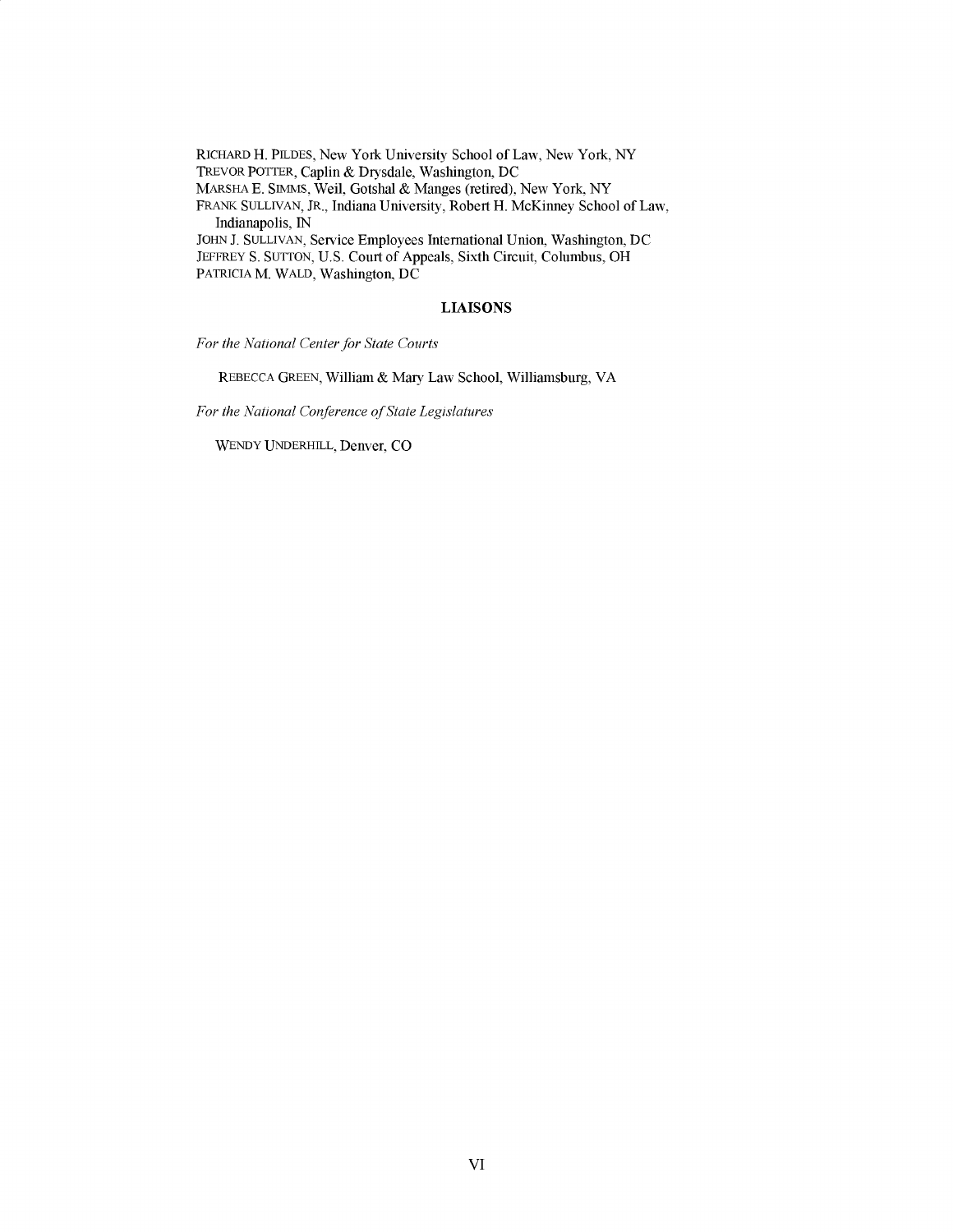RICHARD H. **PILDES,** New York University School of Law, New York, NY TREVOR POTTER, Caplin **&** Drysdale, Washington, **DC** MARSHA **E. SIMMS,** Weil, Gotshal **&** Manges (retired), New York, NY FRANK **SULLIVAN,** JR., Indiana University, Robert H. McKinney School of Law, Indianapolis, **IN JOHN J. SULLIVAN,** Service Employees International Union, Washington, **DC** JEFFREY **S. SUTTON, U.S.** Court of Appeals, Sixth Circuit, Columbus, OH PATRICIA M. WALD, Washington, **DC**

#### **LIAISONS**

*For the National Center for State Courts*

REBECCA **GREEN,** William **&** Mary Law School, Williamsburg, VA

For the National Conference of State Legislatures

WENDY **UNDERHILL,** Denver, **CO**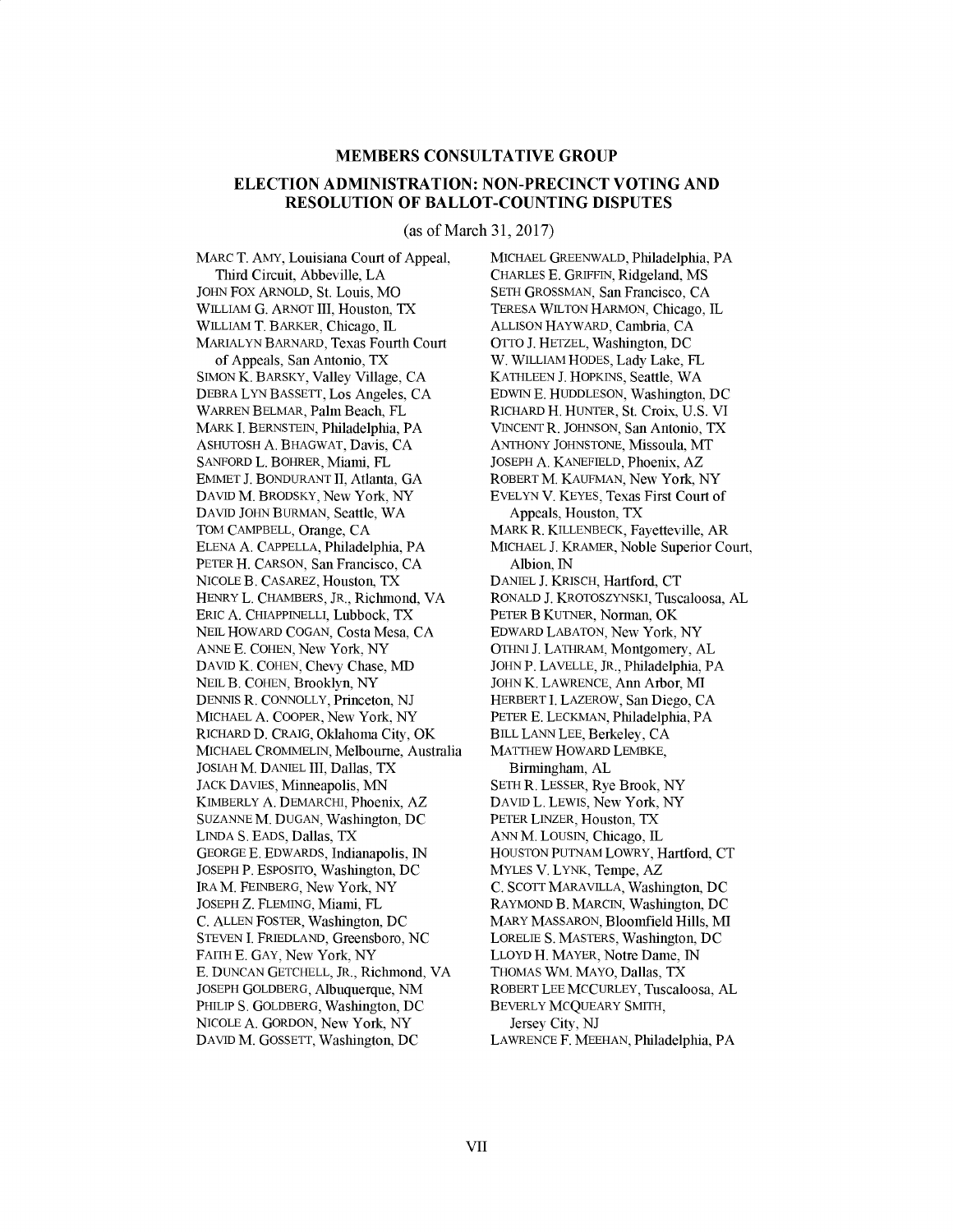#### **MEMBERS CONSULTATIVE GROUP**

## **ELECTION ADMINISTRATION: NON-PRECINCT VOTING AND RESOLUTION OF BALLOT-COUNTING DISPUTES**

(as of March **31, 2017)**

MARC T. AMY, Louisiana Court of Appeal, Third Circuit, Abbeville, **LA JOHN** FOX ARNOLD, St. Louis, MO WILLIAM **G.** ARNOT III, Houston, TX WILLIAM T. BARKER, Chicago, IL MARIALYN BARNARD, Texas Fourth Court of Appeals, San Antonio, TX **SIMON** K. BARSKY, Valley Village, **CA** DEBRA LYN **BASSETT,** Los Angeles, **CA** WARREN BELMAR, Palm Beach, FL MARK **I. BERNSTEIN,** Philadelphia, PA **ASHUTOSH A.** BHAGWAT, Davis, **CA SANFORD** L. BOHRER, Miami, FL **EMMET J. BONDURANT II,** Atlanta, **GA DAVID** M. BRODSKY, New York, NY **DAVID JOHN** BURMAN, Seattle, WA TOM CAMPBELL, Orange, **CA ELENA A. CAPPELLA,** Philadelphia, PA PETER H. **CARSON,** San Francisco, **CA NICOLE** B. CASAREZ, Houston, TX HENRY L. CHAMBERS, JR., Richmond, VA ERIC **A. CHIAPPINELLI,** Lubbock, TX **NEIL** HOWARD **COGAN,** Costa Mesa, **CA ANNE E. COHEN,** New York, NY **DAVID** K. **COHEN,** Chevy Chase, MD **NEIL** B. **COHEN,** Brooklyn, NY **DENNIS** R. **CONNOLLY,** Princeton, **NJ MICHAEL A.** COOPER, New York, NY RICHARD **D.** CRAIG, Oklahoma City, OK **MICHAEL** CROMMELIN, Melbourne, Australia **JOSIAH** M. **DANIEL** III, Dallas, TX JACK **DAVIES,** Minneapolis, **MN** KIMBERLY A. DEMARCHI, Phoenix, AZ **SUZANNE** M. **DUGAN,** Washington, **DC LINDA S. EADS,** Dallas, TX **GEORGE E.** EDWARDS, Indianapolis, **IN JOSEPH** P. **ESPOSITO,** Washington, **DC** IRA M. FEINBERG, New York, NY **JOSEPH** Z. **FLEMING,** Miami, FL **C. ALLEN** FOSTER, Washington, **DC STEVEN I.** FRIEDLAND, Greensboro, **NC** FAITH **E. GAY, New York, NY E. DUNCAN GETCHELL,** JR., Richmond, VA **JOSEPH** GOLDBERG, Albuquerque, **NM** PHILIP **S.** GOLDBERG, Washington, **DC NICOLE A.** GORDON, New York, NY **DAVID** M. **GOSSETT,** Washington, **DC**

MICHAEL GREENWALD, Philadelphia, PA CHARLES **E.** GRIFFIN, Ridgeland, **MS SETH GROSSMAN,** San Francisco, **CA** TFRESA WILTON HARMON, Chicago, IL **ALLISON** HAYWARD, Cambria, **CA** OTTO **J.** HETZEL, Washington, **DC** W. WILLIAM **HODES,** Lady Lake, FL **KATHLEEN J.** HOPKINS, Seattle, WA **EDWIN E. HUDDLESON,** Washington, **DC** RICHARD H. **HUNTER,** St. Croix, **U.S.** VI **VINCENT** R. **JOHNSON,** San Antonio, TX **ANTHONY JOHNSTONE,** Missoula, MT **JOSEPH A. KANEFIELD,** Phoenix, AZ ROBERT M. **KAUFMAN,** New York, NY **EVELYN** V. KEYES, Texas First Court of Appeals, Houston, TX MARK R. KILLENBECK, Fayetteville, AR **MICHAEL J.** KRAMER, Noble Superior Court, Albion, **IN DANIEL J.** KRISCH, Hartford, **CT** RONALD **J.** KROTOSZYNSKI, Tuscaloosa, **AL** PETER B KUTNER, Norman, OK EDWARD **LABATON,** New York, NY **OTHNI J.** LATHRAM, Montgomery, **AL JOHN** P. **LAVELLE,** JR., Philadelphia, PA **JOHN** K. LAWRENCE, Ann Arbor, MI HERBERT **I.** LAZEROW, San Diego, **CA** PETER **E. LECKMAN,** Philadelphia, PA BILL **LANN LEE,** Berkeley, **CA** MATTHEW HOWARD LEMBKE, Birmingham, **AL SETH** R. **LESSER,** Rye Brook, NY **DAVID** L. **LEWIS,** New York, NY PETER LINZER, Houston, TX **ANN** M. **LOUSIN,** Chicago, IL **HOUSTON PUTNAM** LOWRY, Hartford, **CT** MYLES V. LYNK, Tempe, AZ **C. SCOTT** MARAVILLA, Washington, **DC** RAYMOND B. MARCIN, Washington, **DC** MARY **MASSARON,** Bloomfield Hills, MI LORELIE **S.** MASTERS, Washington, **DC** LLOYD H. MAYER, Notre Dame, **IN THOMAS** WM. MAYO, Dallas, TX ROBERT **LEE MCCURLEY,** Tuscaloosa, **AL** BEVERLY MCQUEARY SMITH, Jersey City, **NJ** LAWRENCE F. **MEEHAN,** Philadelphia, PA